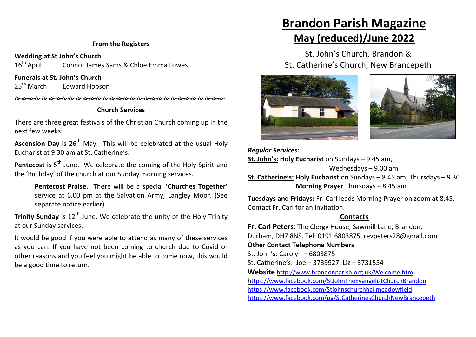#### **From the Registers**

**Wedding at St John's Church**<br>16<sup>th</sup> April **Connor James** Connor James Sams & Chloe Emma Lowes

**Funerals at St. John's Church**

25<sup>th</sup> March Edward Hopson

#### **Church Services**

There are three great festivals of the Christian Church coming up in the next few weeks:

**Ascension Day** is 26<sup>th</sup> May. This will be celebrated at the usual Holy Eucharist at 9.30 am at St. Catherine's.

**Pentecost** is 5<sup>th</sup> June. We celebrate the coming of the Holy Spirit and the 'Birthday' of the church at our Sunday morning services.

**Pentecost Praise.** There will be a special **'Churches Together'** service at 6.00 pm at the Salvation Army, Langley Moor. (See separate notice earlier)

**Trinity Sunday** is 12<sup>th</sup> June. We celebrate the unity of the Holy Trinity at our Sunday services.

It would be good if you were able to attend as many of these services as you can. If you have not been coming to church due to Covid or other reasons and you feel you might be able to come now, this would be a good time to return.

# **Brandon Parish Magazine**

# **May (reduced)/June 2022**

St. John's Church, Brandon & St. Catherine's Church, New Brancepeth



*Regular Services:* **St. John's: Holy Eucharist** on Sundays – 9.45 am, Wednesdays – 9.00 am **St. Catherine's: Holy Eucharist** on Sundays – 8.45 am, Thursdays – 9.30 **Morning Prayer** Thursdays – 8.45 am

**Tuesdays and Fridays:** Fr. Carl leads Morning Prayer on zoom at 8.45. Contact Fr. Carl for an invitation.

#### **Contacts**

**Fr. Carl Peters:** The Clergy House, Sawmill Lane, Brandon, Durham, DH7 8NS. Tel: 0191 6803875, revpeters28@gmail.com **Other Contact Telephone Numbers** St. John's: Carolyn – 6803875 St. Catherine's: Joe – 3739927; Liz – 3731554 **Website** <http://www.brandonparish.org.uk/Welcome.htm> <https://www.facebook.com/StJohnTheEvangelistChurchBrandon> <https://www.facebook.com/Stjohnschurchhallmeadowfield> https://www.facebook.com/pg/StCatherinesChurchNewBrancepeth